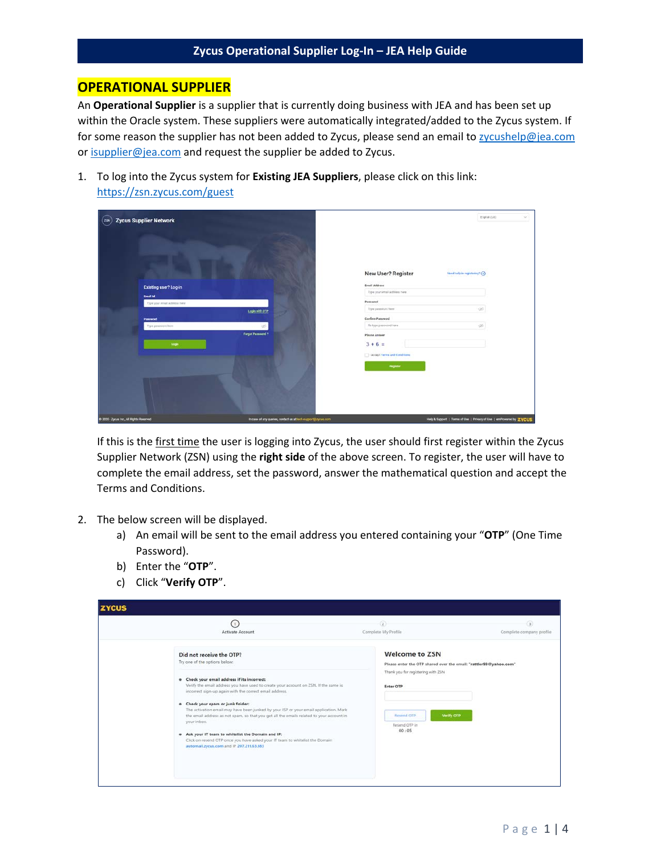### **OPERATIONAL SUPPLIER**

An **Operational Supplier** is a supplier that is currently doing business with JEA and has been set up within the Oracle system. These suppliers were automatically integrated/added to the Zycus system. If for some reason the supplier has not been added to Zycus, please send an email to [zycushelp@jea.com](mailto:zycushelp@jea.com) or [isupplier@jea.com](mailto:isupplier@jea.com) and request the supplier be added to Zycus.

1. To log into the Zycus system for **Existing JEA Suppliers**, please click on this link: [https://zsn.zycus.com/guest](https://urldefense.com/v3/__https:/zsn.zycus.com/guest__;!!PTbBrQ!OKeMQ5i-MNIgvMtFjY7Bw-Qc2mTLJMKUw7IPZKXR84rmkxEbq-NYjcTXBLs$)

| <b>Zycus Supplier Network</b><br>ZIM     |                                                              |                                                                     | English (US)<br>Ŵ. |
|------------------------------------------|--------------------------------------------------------------|---------------------------------------------------------------------|--------------------|
|                                          |                                                              | New User? Register<br>Need help in registming? (>)                  |                    |
| Existing user? Log-in                    |                                                              | Ernall Address<br>Type your omail address here                      |                    |
| <b>Email Id.</b>                         |                                                              |                                                                     |                    |
| Type your ential address here            |                                                              | Password<br>Type password ferre                                     | à                  |
|                                          | Login with ore                                               |                                                                     |                    |
| Password.<br>Type personned bere         | $\infty$                                                     | Confirm Password<br>Raitype password here                           | <b>do</b>          |
|                                          | Forgot Password ?                                            | Please Antwer                                                       |                    |
| Login                                    |                                                              | $3 + 6 =$<br>I accept Terms and Conditions<br><b>Register</b>       |                    |
| @ 2020 / Zyous Inc., All Rights Reserved | In case of any quaries, contact us at took-support@zyosu.com | Help & Support   Terms of Use   Privacy of Use   emPowered by ZVCUS |                    |

If this is the first time the user is logging into Zycus, the user should first register within the Zycus Supplier Network (ZSN) using the **right side** of the above screen. To register, the user will have to complete the email address, set the password, answer the mathematical question and accept the Terms and Conditions.

- 2. The below screen will be displayed.
	- a) An email will be sent to the email address you entered containing your "**OTP**" (One Time Password).
	- b) Enter the "**OTP**".
	- c) Click "**Verify OTP**".

| $\left(1\right)$<br>Activate Account                                                                                                                                                                                                                                                                                          | $\circled{2}$<br>Complete My Profile                                                                                             | $\left( x\right)$<br>Complete company profile |
|-------------------------------------------------------------------------------------------------------------------------------------------------------------------------------------------------------------------------------------------------------------------------------------------------------------------------------|----------------------------------------------------------------------------------------------------------------------------------|-----------------------------------------------|
| Did not receive the OTP?<br>Try one of the options below:                                                                                                                                                                                                                                                                     | <b>Welcome to ZSN</b><br>Please enter the OTP shared over the email: "rattler93@yahoo.com"<br>Thank you for registering with ZSN |                                               |
| . Check your email address if its incorrect:<br>Verify the email address you have used to create your account on ZSN. If the same is<br>incorrect sign-up again with the correct email address.<br>. Check your spam or junk folder:<br>The activation email may have been junked by your ISP or your email application. Mark | Enter OTP                                                                                                                        |                                               |
| the email address as not spam, so that you get all the emails related to your account in<br>your inbox.<br>. Ask your IT team to whitelist the Domain and IP:<br>Click on resend OTP once you have asked your IT team to whitelist the Domain                                                                                 | Verify OTP<br>Resend GTP<br>Resend OTP in<br>00:05                                                                               |                                               |
| automail.zycus.com and IP 207,211.63.183                                                                                                                                                                                                                                                                                      |                                                                                                                                  |                                               |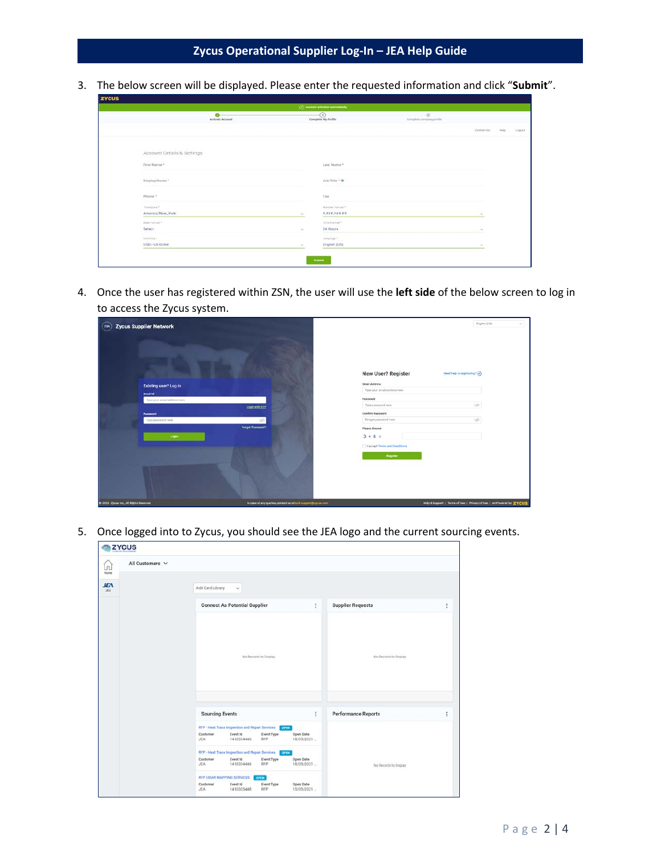3. The below screen will be displayed. Please enter the requested information and click "**Submit**".

|                            | ۰<br>Activate Account |        | $\odot$<br>Complete My Profile | $-100$<br>Complete sompany profile. |              |        |        |
|----------------------------|-----------------------|--------|--------------------------------|-------------------------------------|--------------|--------|--------|
|                            |                       |        |                                |                                     | Contact time | blake) | Logost |
| Account Details & Settings |                       |        |                                |                                     |              |        |        |
| First Name *               |                       |        | Last Name *                    |                                     |              |        |        |
| Display Name *             |                       |        | Job Title * @                  |                                     |              |        |        |
| Phone.*                    |                       |        | Fax:                           |                                     |              |        |        |
| Tires Zone?                |                       |        | <b>Riumber Format *</b>        |                                     |              |        |        |
| America/New_York<br>-      |                       |        | 0.988, 0.06, 0.0<br>-          |                                     | $\sim$       |        |        |
| Liste Ferrari              |                       |        | Tirius Frantist **             |                                     |              |        |        |
| Select                     |                       | $\sim$ | 24 Hours<br>$\sim$             |                                     | $\sim$       |        |        |
| Currency *                 |                       |        | Linguage+                      |                                     |              |        |        |
| USD - US Dollar            |                       | $\sim$ | English (US)                   |                                     | $\sim$       |        |        |

4. Once the user has registered within ZSN, the user will use the **left side** of the below screen to log in to access the Zycus system.

| <b>Zycus Supplier Network</b><br>(208)          |                                                                |                                                                                 | <b>English (US)</b>                                                   | $\sim$ |
|-------------------------------------------------|----------------------------------------------------------------|---------------------------------------------------------------------------------|-----------------------------------------------------------------------|--------|
|                                                 |                                                                | New User? Register                                                              | Need help in registering? (2)                                         |        |
| Existing user? Log-in                           |                                                                | <b>Email Address</b><br>Type your omail accrees frere                           |                                                                       |        |
| <b>Brial id</b><br>Type your email address have |                                                                | Password                                                                        |                                                                       |        |
|                                                 | Login with CTP                                                 | Ticse palaenced hara                                                            | 46                                                                    |        |
| Password                                        |                                                                | Confirm Password                                                                |                                                                       |        |
| Type password held                              | -95                                                            | Be-type pressured twee                                                          | on.                                                                   |        |
| Legin                                           | Forget Pennword ?                                              | Please Arwww<br>$3 + 6 =$<br>  Laccept Terres and Conditions<br><b>Hegaster</b> |                                                                       |        |
| C 2020 - Zyous Inc., All Rights Reserved        | to case of any quarter, contact us at tech export juryous com- |                                                                                 | Help & Support   Terms of Lisa   Privacy of Lisa   emPowered by ZYCUS |        |

5. Once logged into to Zycus, you should see the JEA logo and the current sourcing events.

| All Customers V<br>⋒<br>Home |                                                                                                                                        |                         |                            |          |
|------------------------------|----------------------------------------------------------------------------------------------------------------------------------------|-------------------------|----------------------------|----------|
| <b>JEA</b><br><b>JEA</b>     | Add Card Library<br>v                                                                                                                  |                         |                            |          |
|                              | <b>Connect As Potential Supplier</b>                                                                                                   | ŧ.                      | <b>Supplier Requests</b>   | ÷        |
|                              | No Records to Display                                                                                                                  |                         | No Records to Display      |          |
|                              | <b>Sourcing Events</b>                                                                                                                 | ŧ                       | <b>Performance Reports</b> | $\vdots$ |
|                              | RFP - Heat Trace Inspection and Repair Services (CUX)<br>Customer<br>Event Id<br>Event Type<br><b>JEA</b><br>1410334446<br><b>RFP</b>  | Open Date<br>18/05/2021 |                            |          |
|                              | RFP - Heat Trace Inspection and Repair Services Court<br>Customer<br>Event Id.<br>Event Type<br><b>JEA</b><br>1410334446<br><b>RFP</b> | Open Date<br>18/05/2021 | No Records to Display      |          |
|                              |                                                                                                                                        |                         |                            |          |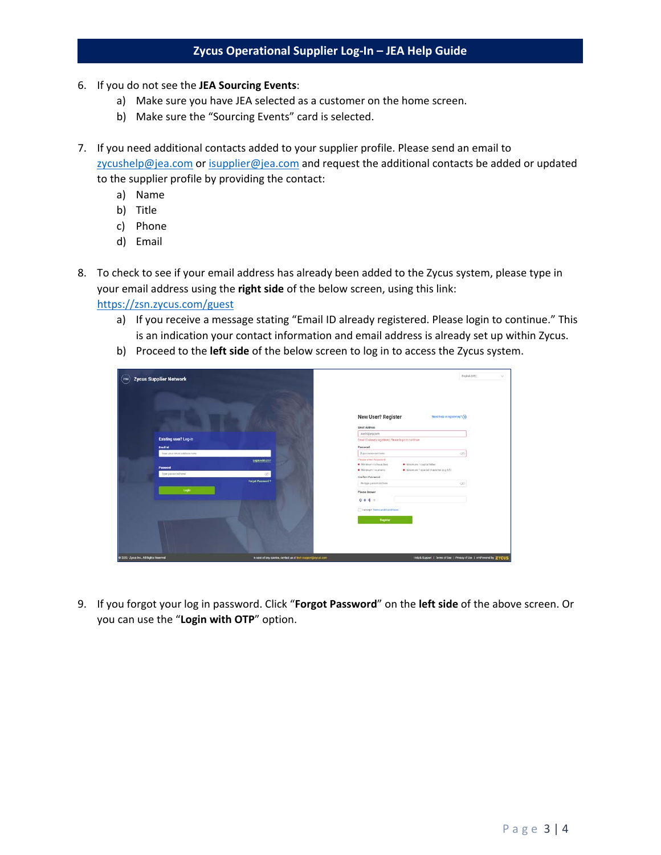- 6. If you do not see the **JEA Sourcing Events**:
	- a) Make sure you have JEA selected as a customer on the home screen.
	- b) Make sure the "Sourcing Events" card is selected.
- 7. If you need additional contacts added to your supplier profile. Please send an email to [zycushelp@jea.com](mailto:zycushelp@jea.com) or [isupplier@jea.com](mailto:isupplier@jea.com) and request the additional contacts be added or updated to the supplier profile by providing the contact:
	- a) Name
	- b) Title
	- c) Phone
	- d) Email
- 8. To check to see if your email address has already been added to the Zycus system, please type in your email address using the **right side** of the below screen, using this link: [https://zsn.zycus.com/guest](https://urldefense.com/v3/__https:/zsn.zycus.com/guest__;!!PTbBrQ!OKeMQ5i-MNIgvMtFjY7Bw-Qc2mTLJMKUw7IPZKXR84rmkxEbq-NYjcTXBLs$)
	- a) If you receive a message stating "Email ID already registered. Please login to continue." This is an indication your contact information and email address is already set up within Zycus.
	- b) Proceed to the **left side** of the below screen to log in to access the Zycus system.

| <b>Zycus Supplier Network</b><br>$(\overline{x}$ |                                                               | Employs (NAT)                                                                                                                                                       | $\sim$ |
|--------------------------------------------------|---------------------------------------------------------------|---------------------------------------------------------------------------------------------------------------------------------------------------------------------|--------|
|                                                  |                                                               | New User? Register<br><b>Need help in registering?</b> (a)<br><b>Email Address</b>                                                                                  |        |
|                                                  |                                                               | scent@jea.com                                                                                                                                                       |        |
| Existing user? Log-in                            |                                                               | Email (D almady incidents), Please logistic continue                                                                                                                |        |
| <b>Email of</b>                                  |                                                               | Password                                                                                                                                                            |        |
| Type your amail address hare:                    |                                                               | Тура различата пама.<br><b>still</b>                                                                                                                                |        |
| Password<br>Type password how                    | Logis with OTF<br>A.                                          | Please ertter Possword<br>· Minimum 7 clip/of futbol<br>* Militardo & characters<br>Unimore 1 special character (e.g ful)<br>· Minimum Taumenic<br>Confern Password |        |
| Legin                                            | <b>Forgot Password 1</b>                                      | Relyjn passworther<br>$30^{\circ}$<br>Please Associat<br>$0 + 4 =$                                                                                                  |        |
|                                                  |                                                               | I scorpt Torra and Candions<br><b>Register</b>                                                                                                                      |        |
|                                                  |                                                               |                                                                                                                                                                     |        |
| @ 2020 - Zyous Inc., All Rights Hesenrod         | in case of any quories, contact us at lech exportational com- | Hitch Duppert   Terms of Use   Physicy of Use   emPowered by ZYCUS                                                                                                  |        |

9. If you forgot your log in password. Click "**Forgot Password**" on the **left side** of the above screen. Or you can use the "**Login with OTP**" option.